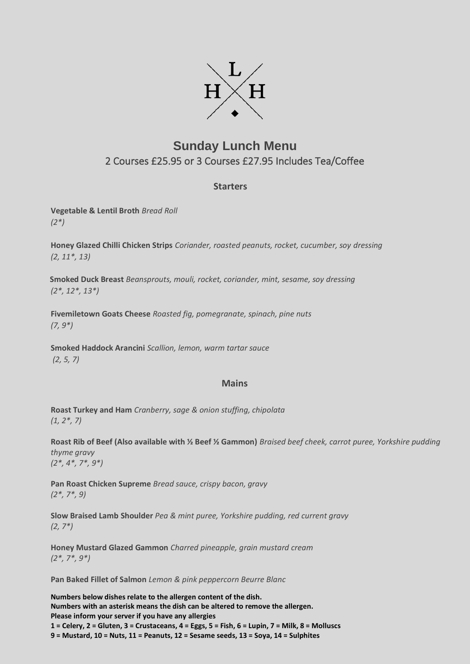

## **Sunday Lunch Menu** 2 Courses £25.95 or 3 Courses £27.95 Includes Tea/Coffee

## **Starters**

**Vegetable & Lentil Broth** *Bread Roll (2\*)*

**Honey Glazed Chilli Chicken Strips** *Coriander, roasted peanuts, rocket, cucumber, soy dressing (2, 11\*, 13)*

**Smoked Duck Breast** *Beansprouts, mouli, rocket, coriander, mint, sesame, soy dressing (2\*, 12\*, 13\*)*

**Fivemiletown Goats Cheese** *Roasted fig, pomegranate, spinach, pine nuts (7, 9\*)* 

**Smoked Haddock Arancini** *Scallion, lemon, warm tartar sauce (2, 5, 7)* 

## **Mains**

**Roast Turkey and Ham** *Cranberry, sage & onion stuffing, chipolata (1, 2\*, 7)*

**Roast Rib of Beef (Also available with ½ Beef ½ Gammon)** *Braised beef cheek, carrot puree, Yorkshire pudding thyme gravy (2\*, 4\*, 7\*, 9\*)*

**Pan Roast Chicken Supreme** *Bread sauce, crispy bacon, gravy (2\*, 7\*, 9)*

**Slow Braised Lamb Shoulder** *Pea & mint puree, Yorkshire pudding, red current gravy (2, 7\*)*

**Honey Mustard Glazed Gammon** *Charred pineapple, grain mustard cream (2\*, 7\*, 9\*)*

**Pan Baked Fillet of Salmon** *Lemon & pink peppercorn Beurre Blanc*

**Numbers below dishes relate to the allergen content of the dish. Numbers with an asterisk means the dish can be altered to remove the allergen. Please inform your server if you have any allergies 1 = Celery, 2 = Gluten, 3 = Crustaceans, 4 = Eggs, 5 = Fish, 6 = Lupin, 7 = Milk, 8 = Molluscs 9 = Mustard, 10 = Nuts, 11 = Peanuts, 12 = Sesame seeds, 13 = Soya, 14 = Sulphites**